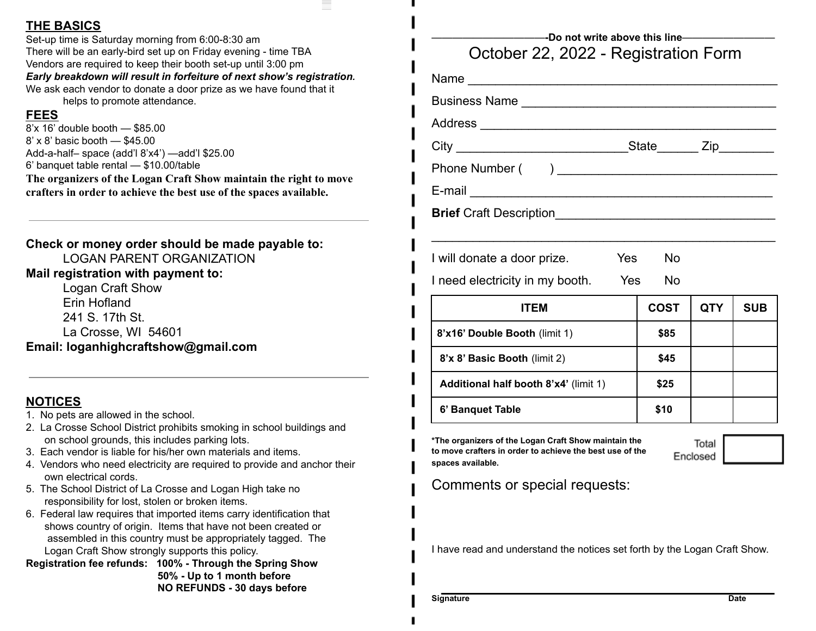#### **THE BASICS**

Set-up time is Saturday morning from 6:00-8:30 am There will be an early-bird set up on Friday evening - time TBA Vendors are required to keep their booth set-up until 3:00 pm *Early breakdown will result in forfeiture of next show's registration.* We ask each vendor to donate a door prize as we have found that it helps to promote attendance.

#### **FEES**

8'x 16' double booth — \$85.00 8' x 8' basic booth — \$45.00 Add-a-half– space (add'l 8'x4') —add'l \$25.00 6' banquet table rental — \$10.00/table **The organizers of the Logan Craft Show maintain the right to move crafters in order to achieve the best use of the spaces available.**

**Check or money order should be made payable to:** LOGAN PARENT ORGANIZATION **Mail registration with payment to:**

Logan Craft Show Erin Hofland 241 S. 17th St. La Crosse, WI 54601 **Email: loganhighcraftshow@gmail.com**

### **NOTICES**

- 1. No pets are allowed in the school.
- 2. La Crosse School District prohibits smoking in school buildings and on school grounds, this includes parking lots.
- 3. Each vendor is liable for his/her own materials and items.
- 4. Vendors who need electricity are required to provide and anchor their own electrical cords.
- 5. The School District of La Crosse and Logan High take no responsibility for lost, stolen or broken items.
- 6. Federal law requires that imported items carry identification that shows country of origin. Items that have not been created or assembled in this country must be appropriately tagged. The Logan Craft Show strongly supports this policy.
- **Registration fee refunds: 100% - Through the Spring Show 50% - Up to 1 month before NO REFUNDS - 30 days before**

| Business Name                                                                                                                         |             |                   |            |
|---------------------------------------------------------------------------------------------------------------------------------------|-------------|-------------------|------------|
|                                                                                                                                       |             |                   |            |
| City City State Zip                                                                                                                   |             |                   |            |
|                                                                                                                                       |             |                   |            |
|                                                                                                                                       |             |                   |            |
|                                                                                                                                       |             |                   |            |
|                                                                                                                                       |             |                   |            |
| I will donate a door prize.<br>Yes                                                                                                    | <b>No</b>   |                   |            |
| I need electricity in my booth.<br><b>Parage Yes</b>                                                                                  | <b>No</b>   |                   |            |
| <b>ITEM</b>                                                                                                                           | <b>COST</b> | <b>QTY</b>        | <b>SUB</b> |
| 8'x16' Double Booth (limit 1)                                                                                                         | \$85        |                   |            |
| 8'x 8' Basic Booth (limit 2)                                                                                                          | \$45        |                   |            |
| Additional half booth 8'x4' (limit 1)                                                                                                 | \$25        |                   |            |
| 6' Banquet Table                                                                                                                      | \$10        |                   |            |
| *The organizers of the Logan Craft Show maintain the<br>to move crafters in order to achieve the best use of the<br>spaces available. |             | Total<br>Enclosed |            |
| Comments or special requests:                                                                                                         |             |                   |            |